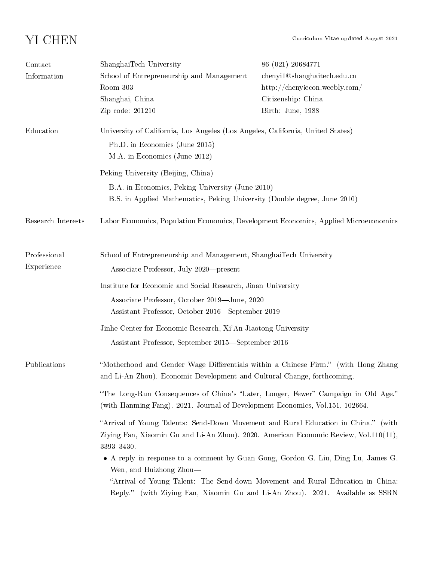| Contact<br>Information     | ShanghaiTech University<br>School of Entrepreneurship and Management<br>Room 303<br>Shanghai, China<br>Zip code: 201210                                                                                                                                                                                                                                                                                                                                                                                                                                                                                                                                                                                                                                                                                             | 86-(021)-20684771<br>chenyi1@shanghaitech.edu.cn<br>http://chenyiecon.weebly.com/<br>Citizenship: China<br>Birth: June, 1988 |
|----------------------------|---------------------------------------------------------------------------------------------------------------------------------------------------------------------------------------------------------------------------------------------------------------------------------------------------------------------------------------------------------------------------------------------------------------------------------------------------------------------------------------------------------------------------------------------------------------------------------------------------------------------------------------------------------------------------------------------------------------------------------------------------------------------------------------------------------------------|------------------------------------------------------------------------------------------------------------------------------|
| Education                  | University of California, Los Angeles (Los Angeles, California, United States)<br>Ph.D. in Economics (June 2015)<br>M.A. in Economics (June 2012)                                                                                                                                                                                                                                                                                                                                                                                                                                                                                                                                                                                                                                                                   |                                                                                                                              |
|                            | Peking University (Beijing, China)<br>B.A. in Economics, Peking University (June 2010)<br>B.S. in Applied Mathematics, Peking University (Double degree, June 2010)                                                                                                                                                                                                                                                                                                                                                                                                                                                                                                                                                                                                                                                 |                                                                                                                              |
| Research Interests         | Labor Economics, Population Economics, Development Economics, Applied Microeconomics                                                                                                                                                                                                                                                                                                                                                                                                                                                                                                                                                                                                                                                                                                                                |                                                                                                                              |
| Professional<br>Experience | School of Entrepreneurship and Management, ShanghaiTech University<br>Associate Professor, July 2020—present<br>Institute for Economic and Social Research, Jinan University<br>Associate Professor, October 2019-June, 2020<br>Assistant Professor, October 2016—September 2019<br>Jinhe Center for Economic Research, Xi'An Jiaotong University<br>Assistant Professor, September 2015–September 2016                                                                                                                                                                                                                                                                                                                                                                                                             |                                                                                                                              |
| Publications               | "Motherhood and Gender Wage Differentials within a Chinese Firm." (with Hong Zhang<br>and Li-An Zhou). Economic Development and Cultural Change, forthcoming.<br>"The Long-Run Consequences of China's "Later, Longer, Fewer" Campaign in Old Age."<br>(with Hanming Fang). 2021. Journal of Development Economics, Vol.151, 102664.<br>"Arrival of Young Talents: Send-Down Movement and Rural Education in China." (with<br>Ziying Fan, Xiaomin Gu and Li-An Zhou). 2020. American Economic Review, Vol.110(11),<br>3393-3430.<br>• A reply in response to a comment by Guan Gong, Gordon G. Liu, Ding Lu, James G.<br>Wen, and Huizhong Zhou-<br>"Arrival of Young Talent: The Send-down Movement and Rural Education in China:<br>Reply." (with Ziying Fan, Xiaomin Gu and Li-An Zhou). 2021. Available as SSRN |                                                                                                                              |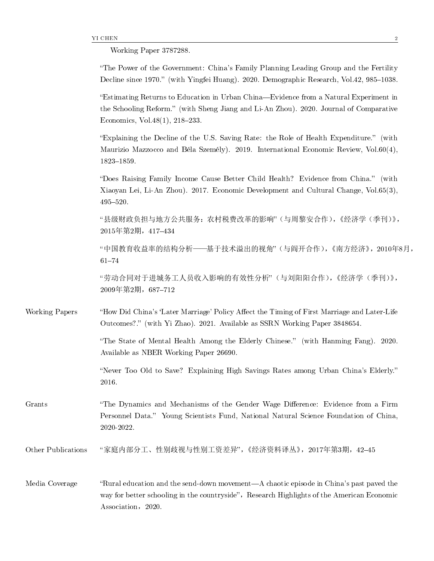Working Paper 3787288.

``The Power of the Government: China's Family Planning Leading Group and the Fertility Decline since 1970.'' (with Yingfei Huang). 2020. Demographic Research, Vol.42, 985--1038.

``Estimating Returns to Education in Urban China---Evidence from a Natural Experiment in the Schooling Reform.'' (with Sheng Jiang and Li-An Zhou). 2020. Journal of Comparative Economics, Vol.  $48(1)$ ,  $218-233$ .

``Explaining the Decline of the U.S. Saving Rate: the Role of Health Expenditure.'' (with Maurizio Mazzocco and Béla Személy). 2019. International Economic Review, Vol.60(4), 1823--1859.

``Does Raising Family Income Cause Better Child Health? Evidence from China.'' (with Xiaoyan Lei, Li-An Zhou). 2017. Economic Development and Cultural Change, Vol.65(3), 495--520.

``县级财政负担与地方公共服务:农村税费改革的影响''(与周黎安合作),《经济学(季刊)》, 2015年第2期, 417-434

"中国教育收益率的结构分析——基于技术溢出的视角"(与阎开合作),《南方经济》,2010年8月,  $61 - 74$ 

``劳动合同对于进城务工人员收入影响的有效性分析''(与刘阳阳合作),《经济学(季刊)》, 2009年第2期,687--712

Working Papers "How Did China's 'Later Marriage' Policy Affect the Timing of First Marriage and Later-Life Outcomes?.'' (with Yi Zhao). 2021. Available as SSRN Working Paper 3848654.

> ``The State of Mental Health Among the Elderly Chinese.'' (with Hanming Fang). 2020. Available as NBER Working Paper 26690.

> ``Never Too Old to Save? Explaining High Savings Rates among Urban China's Elderly.'' 2016.

Grants ``The Dynamics and Mechanisms of the Gender Wage Difference: Evidence from a Firm Personnel Data.'' Young Scientists Fund, National Natural Science Foundation of China, 2020-2022.

Other Publications "家庭内部分工、性别歧视与性别工资差异",《经济资料译丛》,2017年第3期,42-45

Media Coverage "Rural education and the send-down movement--A chaotic episode in China's past paved the way for better schooling in the countryside", Research Highlights of the American Economic Association, 2020.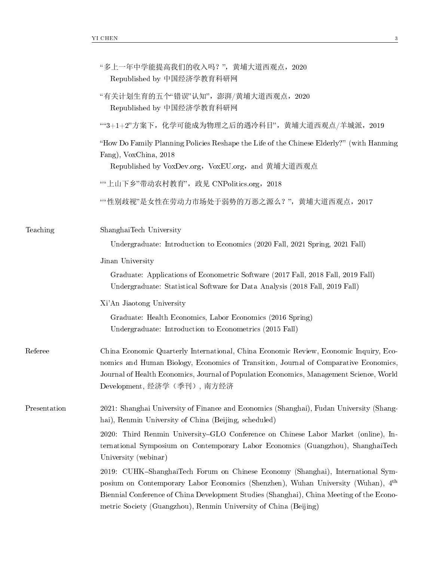|              | "多上一年中学能提高我们的收入吗?", 黄埔大道西观点, 2020<br>Republished by 中国经济学教育科研网                                                                                                                                                                                                                                                                                  |  |
|--------------|-------------------------------------------------------------------------------------------------------------------------------------------------------------------------------------------------------------------------------------------------------------------------------------------------------------------------------------------------|--|
|              | "有关计划生育的五个"错误"认知", 澎湃/黄埔大道西观点, 2020<br>Republished by 中国经济学教育科研网                                                                                                                                                                                                                                                                                |  |
|              | ""3+1+2"方案下, 化学可能成为物理之后的遇冷科目", 黄埔大道西观点/羊城派, 2019                                                                                                                                                                                                                                                                                                |  |
|              | "How Do Family Planning Policies Reshape the Life of the Chinese Elderly?" (with Hanming<br>Fang), VoxChina, 2018<br>Republished by VoxDev.org, VoxEU.org, and 黄埔大道西观点                                                                                                                                                                          |  |
|              | ""上山下乡"带动农村教育", 政见 CNPolitics.org, 2018                                                                                                                                                                                                                                                                                                         |  |
|              | ""性别歧视"是女性在劳动力市场处于弱势的万恶之源么?",黄埔大道西观点, 2017                                                                                                                                                                                                                                                                                                      |  |
| Teaching     | ShanghaiTech University                                                                                                                                                                                                                                                                                                                         |  |
|              | Undergraduate: Introduction to Economics (2020 Fall, 2021 Spring, 2021 Fall)                                                                                                                                                                                                                                                                    |  |
|              | Jinan University                                                                                                                                                                                                                                                                                                                                |  |
|              | Graduate: Applications of Econometric Software (2017 Fall, 2018 Fall, 2019 Fall)<br>Undergraduate: Statistical Software for Data Analysis (2018 Fall, 2019 Fall)                                                                                                                                                                                |  |
|              | Xi'An Jiaotong University                                                                                                                                                                                                                                                                                                                       |  |
|              | Graduate: Health Economics, Labor Economics (2016 Spring)<br>Undergraduate: Introduction to Econometrics (2015 Fall)                                                                                                                                                                                                                            |  |
| Referee      | China Economic Quarterly International, China Economic Review, Economic Inquiry, Eco-<br>nomics and Human Biology, Economics of Transition, Journal of Comparative Economics,<br>Journal of Health Economics, Journal of Population Economics, Management Science, World<br>Development, 经济学(季刊), 南方经济                                          |  |
| Presentation | 2021: Shanghai University of Finance and Economics (Shanghai), Fudan University (Shang-<br>hai), Renmin University of China (Beijing, scheduled)                                                                                                                                                                                                |  |
|              | 2020: Third Renmin University-GLO Conference on Chinese Labor Market (online), In-<br>ternational Symposium on Contemporary Labor Economics (Guangzhou), ShanghaiTech<br>University (webinar)                                                                                                                                                   |  |
|              | 2019: CUHK-ShanghaiTech Forum on Chinese Economy (Shanghai), International Sym-<br>posium on Contemporary Labor Economics (Shenzhen), Wuhan University (Wuhan), 4 <sup>th</sup><br>Biennial Conference of China Development Studies (Shanghai), China Meeting of the Econo-<br>metric Society (Guangzhou), Renmin University of China (Beijing) |  |